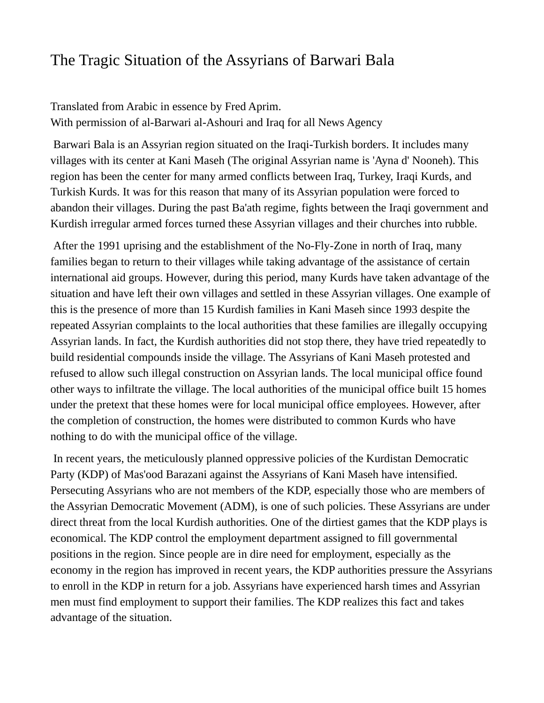## The Tragic Situation of the Assyrians of Barwari Bala

Translated from Arabic in essence by Fred Aprim. With permission of al-Barwari al-Ashouri and Iraq for all News Agency

Barwari Bala is an Assyrian region situated on the Iraqi-Turkish borders. It includes many villages with its center at Kani Maseh (The original Assyrian name is 'Ayna d' Nooneh). This region has been the center for many armed conflicts between Iraq, Turkey, Iraqi Kurds, and Turkish Kurds. It was for this reason that many of its Assyrian population were forced to abandon their villages. During the past Ba'ath regime, fights between the Iraqi government and Kurdish irregular armed forces turned these Assyrian villages and their churches into rubble.

After the 1991 uprising and the establishment of the No-Fly-Zone in north of Iraq, many families began to return to their villages while taking advantage of the assistance of certain international aid groups. However, during this period, many Kurds have taken advantage of the situation and have left their own villages and settled in these Assyrian villages. One example of this is the presence of more than 15 Kurdish families in Kani Maseh since 1993 despite the repeated Assyrian complaints to the local authorities that these families are illegally occupying Assyrian lands. In fact, the Kurdish authorities did not stop there, they have tried repeatedly to build residential compounds inside the village. The Assyrians of Kani Maseh protested and refused to allow such illegal construction on Assyrian lands. The local municipal office found other ways to infiltrate the village. The local authorities of the municipal office built 15 homes under the pretext that these homes were for local municipal office employees. However, after the completion of construction, the homes were distributed to common Kurds who have nothing to do with the municipal office of the village.

In recent years, the meticulously planned oppressive policies of the Kurdistan Democratic Party (KDP) of Mas'ood Barazani against the Assyrians of Kani Maseh have intensified. Persecuting Assyrians who are not members of the KDP, especially those who are members of the Assyrian Democratic Movement (ADM), is one of such policies. These Assyrians are under direct threat from the local Kurdish authorities. One of the dirtiest games that the KDP plays is economical. The KDP control the employment department assigned to fill governmental positions in the region. Since people are in dire need for employment, especially as the economy in the region has improved in recent years, the KDP authorities pressure the Assyrians to enroll in the KDP in return for a job. Assyrians have experienced harsh times and Assyrian men must find employment to support their families. The KDP realizes this fact and takes advantage of the situation.